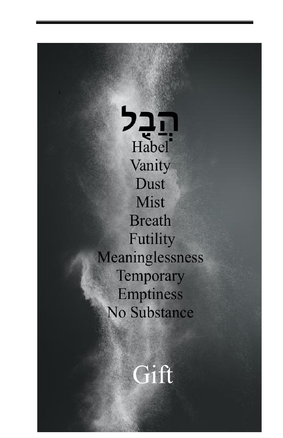$527$ Vanity Dust Mist **Breath** Futility Meaninglessness Temporary **Emptiness** No Substance

Gift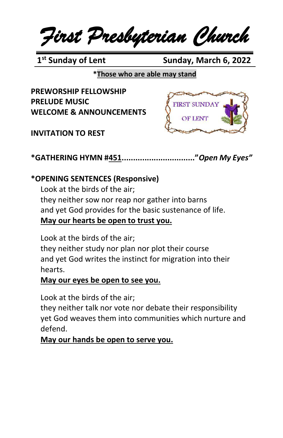*First Presbyterian Church*

1<sup>st</sup> Sunday of Lent

**Sunday, March 6, 2022** 

**\*Those who are able may stand**

**PREWORSHIP FELLOWSHIP PRELUDE MUSIC WELCOME & ANNOUNCEMENTS**



**INVITATION TO REST**

**\*GATHERING HYMN #451................................"***Open My Eyes"*

# **\*OPENING SENTENCES (Responsive)**

Look at the birds of the air; they neither sow nor reap nor gather into barns and yet God provides for the basic sustenance of life. **May our hearts be open to trust you.**

Look at the birds of the air;

they neither study nor plan nor plot their course and yet God writes the instinct for migration into their hearts.

### **May our eyes be open to see you.**

Look at the birds of the air;

they neither talk nor vote nor debate their responsibility yet God weaves them into communities which nurture and defend.

**May our hands be open to serve you.**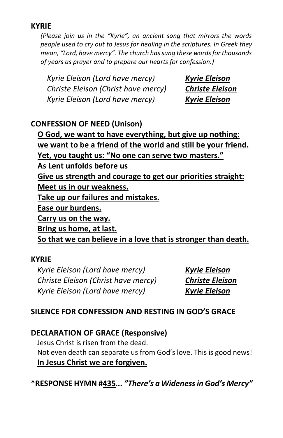#### **KYRIE**

*(Please join us in the "Kyrie", an ancient song that mirrors the words people used to cry out to Jesus for healing in the scriptures. In Greek they mean, "Lord, have mercy". The church has sung these words for thousands of years as prayer and to prepare our hearts for confession.)*

*Kyrie Eleison (Lord have mercy) Kyrie Eleison Christe Eleison (Christ have mercy) Christe Eleison Kyrie Eleison (Lord have mercy) Kyrie Eleison*

#### **CONFESSION OF NEED (Unison)**

**O God, we want to have everything, but give up nothing: we want to be a friend of the world and still be your friend. Yet, you taught us: "No one can serve two masters." As Lent unfolds before us Give us strength and courage to get our priorities straight: Meet us in our weakness. Take up our failures and mistakes. Ease our burdens. Carry us on the way. Bring us home, at last. So that we can believe in a love that is stronger than death.**

#### **KYRIE**

*Kyrie Eleison (Lord have mercy) Kyrie Eleison Christe Eleison (Christ have mercy) Christe Eleison Kyrie Eleison (Lord have mercy) Kyrie Eleison*

### **SILENCE FOR CONFESSION AND RESTING IN GOD'S GRACE**

### **DECLARATION OF GRACE (Responsive)**

Jesus Christ is risen from the dead. Not even death can separate us from God's love. This is good news! **In Jesus Christ we are forgiven.**

**\*RESPONSE HYMN #435***... "There's a Wideness in God's Mercy"*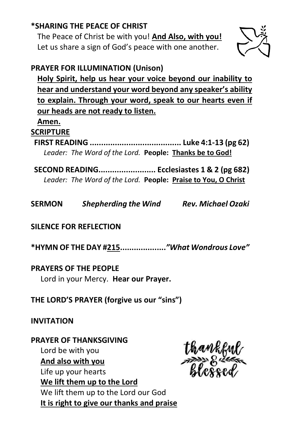# **\*SHARING THE PEACE OF CHRIST**

The Peace of Christ be with you! **And Also, with you!** Let us share a sign of God's peace with one another.



**Holy Spirit, help us hear your voice beyond our inability to hear and understand your word beyond any speaker's ability to explain. Through your word, speak to our hearts even if our heads are not ready to listen.**

#### **Amen.**

### **SCRIPTURE**

**FIRST READING ........................................ Luke 4:1-13 (pg 62)** *Leader: The Word of the Lord.* **People: Thanks be to God!**

**SECOND READING......................... Ecclesiastes 1 & 2 (pg 682)** *Leader: The Word of the Lord.* **People: Praise to You, O Christ**

**SERMON** *Shepherding the Wind Rev. Michael Ozaki*

### **SILENCE FOR REFLECTION**

**\*HYMN OF THE DAY #215....................***"What Wondrous Love"*

#### **PRAYERS OF THE PEOPLE**

Lord in your Mercy. **Hear our Prayer.**

**THE LORD'S PRAYER (forgive us our "sins")**

#### **INVITATION**

### **PRAYER OF THANKSGIVING**

Lord be with you **And also with you** Life up your hearts **We lift them up to the Lord** We lift them up to the Lord our God **It is right to give our thanks and praise**

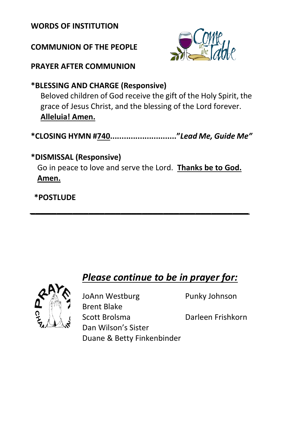### **WORDS OF INSTITUTION**

## **COMMUNION OF THE PEOPLE**



### **PRAYER AFTER COMMUNION**

# **\*BLESSING AND CHARGE (Responsive)**

Beloved children of God receive the gift of the Holy Spirit, the grace of Jesus Christ, and the blessing of the Lord forever. **Alleluia! Amen.**

**\*CLOSING HYMN #740............................."***Lead Me, Guide Me"*

# **\*DISMISSAL (Responsive)**

Go in peace to love and serve the Lord. **Thanks be to God. Amen.**

*\_\_\_\_\_\_\_\_\_\_\_\_\_\_\_\_\_\_\_\_\_\_\_\_\_\_\_\_\_\_\_\_\_\_\_\_\_\_\_\_\_*

#### **\*POSTLUDE**

# *Please continue to be in prayer for:*



JoAnn Westburg **Punky Johnson** Brent Blake Scott Brolsma Darleen Frishkorn Dan Wilson's Sister Duane & Betty Finkenbinder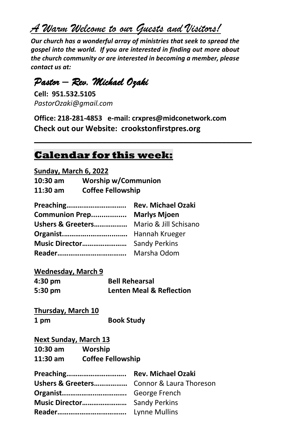*A Warm Welcome to our Guests and Visitors!*

*Our church has a wonderful array of ministries that seek to spread the gospel into the world. If you are interested in finding out more about the church community or are interested in becoming a member, please contact us at:*

# *Pastor – Rev. Michael Ozaki*

**Cell: 951.532.5105** *PastorOzaki@gmail.com*

**Office: 218-281-4853 e-mail: crxpres@midconetwork.com Check out our Website: crookstonfirstpres.org**

 $\mathcal{L} = \{ \mathcal{L} \mid \mathcal{L} \in \mathcal{L} \}$ 

# **Calendar for this week:**

**Sunday, March 6, 2022** 

| 10:30 am | <b>Worship w/Communion</b> |
|----------|----------------------------|
| 11:30 am | <b>Coffee Fellowship</b>   |

| Preaching         | <b>Rev. Michael Ozaki</b> |
|-------------------|---------------------------|
| Communion Prep    | <b>Marlys Mjoen</b>       |
| Ushers & Greeters | Mario & Jill Schisano     |
|                   | Hannah Krueger            |
| Music Director    | <b>Sandy Perkins</b>      |
|                   | Marsha Odom               |

#### **Wednesday, March 9**

| 4:30 pm           | <b>Bell Rehearsal</b>               |
|-------------------|-------------------------------------|
| $5:30 \text{ pm}$ | <b>Lenten Meal &amp; Reflection</b> |

**Thursday, March 10 1 pm Book Study**

#### **Next Sunday, March 13**

| 10:30 am | Worship                  |
|----------|--------------------------|
| 11:30 am | <b>Coffee Fellowship</b> |

| Ushers & Greeters Connor & Laura Thoreson |  |
|-------------------------------------------|--|
|                                           |  |
|                                           |  |
|                                           |  |